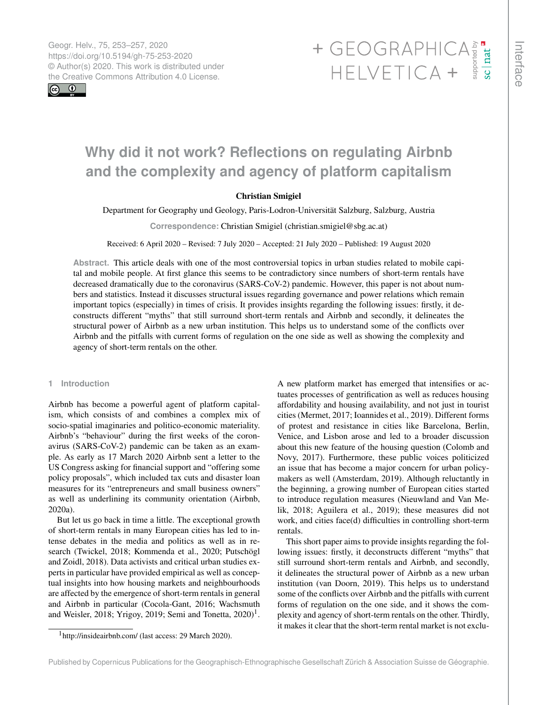Geogr. Helv., 75, 253–257, 2020 https://doi.org/10.5194/gh-75-253-2020 © Author(s) 2020. This work is distributed under

 $\boxed{6}$   $\boxed{0}$ 

# Geogr. Helv., 75, 253–257, 2020<br>https://doi.org/10.5194/gh-75-253-2020<br>
© Author(s) 2020. This work is distributed under<br>
the Creative Commons Attribution 4.0 License.<br>
HELVETICA +

# **Why did it not work? Reflections on regulating Airbnb and the complexity and agency of platform capitalism**

# Christian Smigiel

Department for Geography und Geology, Paris-Lodron-Universität Salzburg, Salzburg, Austria

**Correspondence:** Christian Smigiel (christian.smigiel@sbg.ac.at)

Received: 6 April 2020 – Revised: 7 July 2020 – Accepted: 21 July 2020 – Published: 19 August 2020

**Abstract.** This article deals with one of the most controversial topics in urban studies related to mobile capital and mobile people. At first glance this seems to be contradictory since numbers of short-term rentals have decreased dramatically due to the coronavirus (SARS-CoV-2) pandemic. However, this paper is not about numbers and statistics. Instead it discusses structural issues regarding governance and power relations which remain important topics (especially) in times of crisis. It provides insights regarding the following issues: firstly, it deconstructs different "myths" that still surround short-term rentals and Airbnb and secondly, it delineates the structural power of Airbnb as a new urban institution. This helps us to understand some of the conflicts over Airbnb and the pitfalls with current forms of regulation on the one side as well as showing the complexity and agency of short-term rentals on the other.

#### **1 Introduction**

Airbnb has become a powerful agent of platform capitalism, which consists of and combines a complex mix of socio-spatial imaginaries and politico-economic materiality. Airbnb's "behaviour" during the first weeks of the coronavirus (SARS-CoV-2) pandemic can be taken as an example. As early as 17 March 2020 Airbnb sent a letter to the US Congress asking for financial support and "offering some policy proposals", which included tax cuts and disaster loan measures for its "entrepreneurs and small business owners" as well as underlining its community orientation (Airbnb, 2020a).

But let us go back in time a little. The exceptional growth of short-term rentals in many European cities has led to intense debates in the media and politics as well as in research (Twickel, 2018; Kommenda et al., 2020; Putschögl and Zoidl, 2018). Data activists and critical urban studies experts in particular have provided empirical as well as conceptual insights into how housing markets and neighbourhoods are affected by the emergence of short-term rentals in general and Airbnb in particular (Cocola-Gant, 2016; Wachsmuth and Weisler, 20[1](#page-0-0)8; Yrigoy, 2019; Semi and Tonetta,  $2020$ <sup>1</sup>.

A new platform market has emerged that intensifies or actuates processes of gentrification as well as reduces housing affordability and housing availability, and not just in tourist cities (Mermet, 2017; Ioannides et al., 2019). Different forms of protest and resistance in cities like Barcelona, Berlin, Venice, and Lisbon arose and led to a broader discussion about this new feature of the housing question (Colomb and Novy, 2017). Furthermore, these public voices politicized an issue that has become a major concern for urban policymakers as well (Amsterdam, 2019). Although reluctantly in the beginning, a growing number of European cities started to introduce regulation measures (Nieuwland and Van Melik, 2018; Aguilera et al., 2019); these measures did not work, and cities face(d) difficulties in controlling short-term rentals.

This short paper aims to provide insights regarding the following issues: firstly, it deconstructs different "myths" that still surround short-term rentals and Airbnb, and secondly, it delineates the structural power of Airbnb as a new urban institution (van Doorn, 2019). This helps us to understand some of the conflicts over Airbnb and the pitfalls with current forms of regulation on the one side, and it shows the complexity and agency of short-term rentals on the other. Thirdly, it makes it clear that the short-term rental market is not exclu-

<span id="page-0-0"></span><sup>1</sup><http://insideairbnb.com/> (last access: 29 March 2020).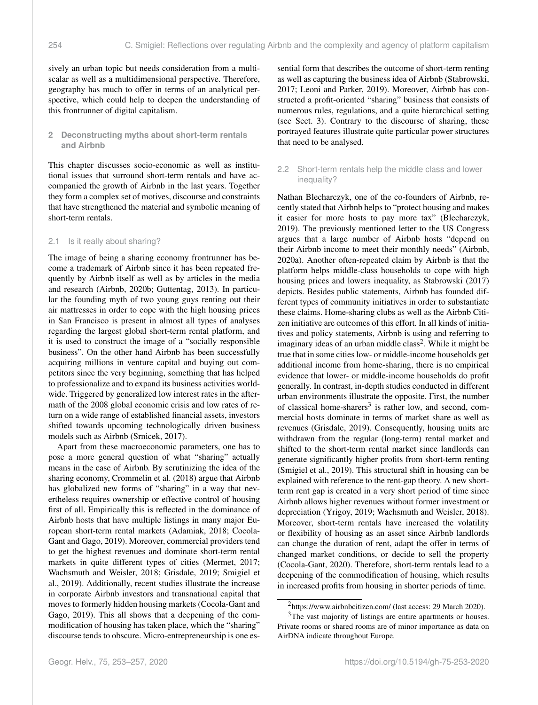sively an urban topic but needs consideration from a multiscalar as well as a multidimensional perspective. Therefore, geography has much to offer in terms of an analytical perspective, which could help to deepen the understanding of this frontrunner of digital capitalism.

# **2 Deconstructing myths about short-term rentals and Airbnb**

This chapter discusses socio-economic as well as institutional issues that surround short-term rentals and have accompanied the growth of Airbnb in the last years. Together they form a complex set of motives, discourse and constraints that have strengthened the material and symbolic meaning of short-term rentals.

### 2.1 Is it really about sharing?

The image of being a sharing economy frontrunner has become a trademark of Airbnb since it has been repeated frequently by Airbnb itself as well as by articles in the media and research (Airbnb, 2020b; Guttentag, 2013). In particular the founding myth of two young guys renting out their air mattresses in order to cope with the high housing prices in San Francisco is present in almost all types of analyses regarding the largest global short-term rental platform, and it is used to construct the image of a "socially responsible business". On the other hand Airbnb has been successfully acquiring millions in venture capital and buying out competitors since the very beginning, something that has helped to professionalize and to expand its business activities worldwide. Triggered by generalized low interest rates in the aftermath of the 2008 global economic crisis and low rates of return on a wide range of established financial assets, investors shifted towards upcoming technologically driven business models such as Airbnb (Srnicek, 2017).

Apart from these macroeconomic parameters, one has to pose a more general question of what "sharing" actually means in the case of Airbnb. By scrutinizing the idea of the sharing economy, Crommelin et al. (2018) argue that Airbnb has globalized new forms of "sharing" in a way that nevertheless requires ownership or effective control of housing first of all. Empirically this is reflected in the dominance of Airbnb hosts that have multiple listings in many major European short-term rental markets (Adamiak, 2018; Cocola-Gant and Gago, 2019). Moreover, commercial providers tend to get the highest revenues and dominate short-term rental markets in quite different types of cities (Mermet, 2017; Wachsmuth and Weisler, 2018; Grisdale, 2019; Smigiel et al., 2019). Additionally, recent studies illustrate the increase in corporate Airbnb investors and transnational capital that moves to formerly hidden housing markets (Cocola-Gant and Gago, 2019). This all shows that a deepening of the commodification of housing has taken place, which the "sharing" discourse tends to obscure. Micro-entrepreneurship is one essential form that describes the outcome of short-term renting as well as capturing the business idea of Airbnb (Stabrowski, 2017; Leoni and Parker, 2019). Moreover, Airbnb has constructed a profit-oriented "sharing" business that consists of numerous rules, regulations, and a quite hierarchical setting (see Sect. 3). Contrary to the discourse of sharing, these portrayed features illustrate quite particular power structures that need to be analysed.

## 2.2 Short-term rentals help the middle class and lower inequality?

Nathan Blecharczyk, one of the co-founders of Airbnb, recently stated that Airbnb helps to "protect housing and makes it easier for more hosts to pay more tax" (Blecharczyk, 2019). The previously mentioned letter to the US Congress argues that a large number of Airbnb hosts "depend on their Airbnb income to meet their monthly needs" (Airbnb, 2020a). Another often-repeated claim by Airbnb is that the platform helps middle-class households to cope with high housing prices and lowers inequality, as Stabrowski (2017) depicts. Besides public statements, Airbnb has founded different types of community initiatives in order to substantiate these claims. Home-sharing clubs as well as the Airbnb Citizen initiative are outcomes of this effort. In all kinds of initiatives and policy statements, Airbnb is using and referring to imaginary ideas of an urban middle  $class<sup>2</sup>$  $class<sup>2</sup>$  $class<sup>2</sup>$ . While it might be true that in some cities low- or middle-income households get additional income from home-sharing, there is no empirical evidence that lower- or middle-income households do profit generally. In contrast, in-depth studies conducted in different urban environments illustrate the opposite. First, the number of classical home-sharers<sup>[3](#page-1-1)</sup> is rather low, and second, commercial hosts dominate in terms of market share as well as revenues (Grisdale, 2019). Consequently, housing units are withdrawn from the regular (long-term) rental market and shifted to the short-term rental market since landlords can generate significantly higher profits from short-term renting (Smigiel et al., 2019). This structural shift in housing can be explained with reference to the rent-gap theory. A new shortterm rent gap is created in a very short period of time since Airbnb allows higher revenues without former investment or depreciation (Yrigoy, 2019; Wachsmuth and Weisler, 2018). Moreover, short-term rentals have increased the volatility or flexibility of housing as an asset since Airbnb landlords can change the duration of rent, adapt the offer in terms of changed market conditions, or decide to sell the property (Cocola-Gant, 2020). Therefore, short-term rentals lead to a deepening of the commodification of housing, which results in increased profits from housing in shorter periods of time.

<span id="page-1-1"></span><span id="page-1-0"></span><sup>2</sup><https://www.airbnbcitizen.com/> (last access: 29 March 2020).

<sup>&</sup>lt;sup>3</sup>The vast majority of listings are entire apartments or houses. Private rooms or shared rooms are of minor importance as data on AirDNA indicate throughout Europe.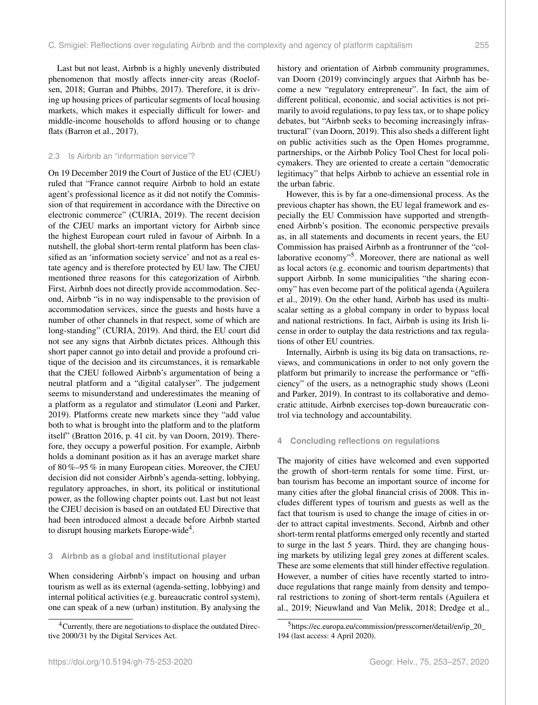Last but not least, Airbnb is a highly unevenly distributed phenomenon that mostly affects inner-city areas (Roelofsen, 2018; Gurran and Phibbs, 2017). Therefore, it is driving up housing prices of particular segments of local housing markets, which makes it especially difficult for lower- and middle-income households to afford housing or to change flats (Barron et al., 2017).

#### 2.3 Is Airbnb an "information service"?

On 19 December 2019 the Court of Justice of the EU (CJEU) ruled that "France cannot require Airbnb to hold an estate agent's professional licence as it did not notify the Commission of that requirement in accordance with the Directive on electronic commerce" (CURIA, 2019). The recent decision of the CJEU marks an important victory for Airbnb since the highest European court ruled in favour of Airbnb. In a nutshell, the global short-term rental platform has been classified as an 'information society service' and not as a real estate agency and is therefore protected by EU law. The CJEU mentioned three reasons for this categorization of Airbnb. First, Airbnb does not directly provide accommodation. Second, Airbnb "is in no way indispensable to the provision of accommodation services, since the guests and hosts have a number of other channels in that respect, some of which are long-standing" (CURIA, 2019). And third, the EU court did not see any signs that Airbnb dictates prices. Although this short paper cannot go into detail and provide a profound critique of the decision and its circumstances, it is remarkable that the CJEU followed Airbnb's argumentation of being a neutral platform and a "digital catalyser". The judgement seems to misunderstand and underestimates the meaning of a platform as a regulator and stimulator (Leoni and Parker, 2019). Platforms create new markets since they "add value both to what is brought into the platform and to the platform itself" (Bratton 2016, p. 41 cit. by van Doorn, 2019). Therefore, they occupy a powerful position. For example, Airbnb holds a dominant position as it has an average market share of 80 %–95 % in many European cities. Moreover, the CJEU decision did not consider Airbnb's agenda-setting, lobbying, regulatory approaches, in short, its political or institutional power, as the following chapter points out. Last but not least the CJEU decision is based on an outdated EU Directive that had been introduced almost a decade before Airbnb started to disrupt housing markets Europe-wide<sup>[4](#page-2-0)</sup>.

#### **3 Airbnb as a global and institutional player**

When considering Airbnb's impact on housing and urban tourism as well as its external (agenda-setting, lobbying) and internal political activities (e.g. bureaucratic control system), one can speak of a new (urban) institution. By analysing the history and orientation of Airbnb community programmes, van Doorn (2019) convincingly argues that Airbnb has become a new "regulatory entrepreneur". In fact, the aim of different political, economic, and social activities is not primarily to avoid regulations, to pay less tax, or to shape policy debates, but "Airbnb seeks to becoming increasingly infrastructural" (van Doorn, 2019). This also sheds a different light on public activities such as the Open Homes programme, partnerships, or the Airbnb Policy Tool Chest for local policymakers. They are oriented to create a certain "democratic legitimacy" that helps Airbnb to achieve an essential role in the urban fabric.

However, this is by far a one-dimensional process. As the previous chapter has shown, the EU legal framework and especially the EU Commission have supported and strengthened Airbnb's position. The economic perspective prevails as, in all statements and documents in recent years, the EU Commission has praised Airbnb as a frontrunner of the "col-laborative economy"<sup>[5](#page-2-1)</sup>. Moreover, there are national as well as local actors (e.g. economic and tourism departments) that support Airbnb. In some municipalities "the sharing economy" has even become part of the political agenda (Aguilera et al., 2019). On the other hand, Airbnb has used its multiscalar setting as a global company in order to bypass local and national restrictions. In fact, Airbnb is using its Irish license in order to outplay the data restrictions and tax regulations of other EU countries.

Internally, Airbnb is using its big data on transactions, reviews, and communications in order to not only govern the platform but primarily to increase the performance or "efficiency" of the users, as a netnographic study shows (Leoni and Parker, 2019). In contrast to its collaborative and democratic attitude, Airbnb exercises top-down bureaucratic control via technology and accountability.

### **4 Concluding reflections on regulations**

The majority of cities have welcomed and even supported the growth of short-term rentals for some time. First, urban tourism has become an important source of income for many cities after the global financial crisis of 2008. This includes different types of tourism and guests as well as the fact that tourism is used to change the image of cities in order to attract capital investments. Second, Airbnb and other short-term rental platforms emerged only recently and started to surge in the last 5 years. Third, they are changing housing markets by utilizing legal grey zones at different scales. These are some elements that still hinder effective regulation. However, a number of cities have recently started to introduce regulations that range mainly from density and temporal restrictions to zoning of short-term rentals (Aguilera et al., 2019; Nieuwland and Van Melik, 2018; Dredge et al.,

<span id="page-2-0"></span><sup>&</sup>lt;sup>4</sup>Currently, there are negotiations to displace the outdated Directive 2000/31 by the Digital Services Act.

<span id="page-2-1"></span><sup>5</sup>[https://ec.europa.eu/commission/presscorner/detail/en/ip\\_20\\_](https://ec.europa.eu/commission/presscorner/detail/en/ip_20_194) [194](https://ec.europa.eu/commission/presscorner/detail/en/ip_20_194) (last access: 4 April 2020).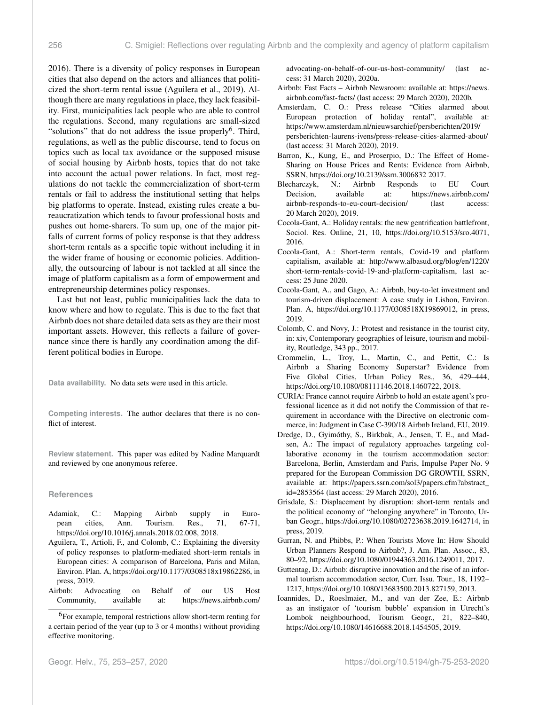2016). There is a diversity of policy responses in European cities that also depend on the actors and alliances that politicized the short-term rental issue (Aguilera et al., 2019). Although there are many regulations in place, they lack feasibility. First, municipalities lack people who are able to control the regulations. Second, many regulations are small-sized "solutions" that do not address the issue properly<sup>[6](#page-3-0)</sup>. Third, regulations, as well as the public discourse, tend to focus on topics such as local tax avoidance or the supposed misuse of social housing by Airbnb hosts, topics that do not take into account the actual power relations. In fact, most regulations do not tackle the commercialization of short-term rentals or fail to address the institutional setting that helps big platforms to operate. Instead, existing rules create a bureaucratization which tends to favour professional hosts and pushes out home-sharers. To sum up, one of the major pitfalls of current forms of policy response is that they address short-term rentals as a specific topic without including it in the wider frame of housing or economic policies. Additionally, the outsourcing of labour is not tackled at all since the image of platform capitalism as a form of empowerment and entrepreneurship determines policy responses.

Last but not least, public municipalities lack the data to know where and how to regulate. This is due to the fact that Airbnb does not share detailed data sets as they are their most important assets. However, this reflects a failure of governance since there is hardly any coordination among the different political bodies in Europe.

**Data availability.** No data sets were used in this article.

**Competing interests.** The author declares that there is no conflict of interest.

**Review statement.** This paper was edited by Nadine Marquardt and reviewed by one anonymous referee.

#### **References**

- Adamiak, C.: Mapping Airbnb supply in European cities, Ann. Tourism. Res., 71, 67-71, https://doi.org[/10.1016/j.annals.2018.02.008,](https://doi.org/10.1016/j.annals.2018.02.008) 2018.
- Aguilera, T., Artioli, F., and Colomb, C.: Explaining the diversity of policy responses to platform-mediated short-term rentals in European cities: A comparison of Barcelona, Paris and Milan, Environ. Plan. A, https://doi.org[/10.1177/0308518x19862286,](https://doi.org/10.1177/0308518x19862286) in press, 2019.
- Airbnb: Advocating on Behalf of our US Host Community, available at: [https://news.airbnb.com/](https://news.airbnb.com/advocating-on-behalf-of-our-us-host-community/)

<span id="page-3-0"></span><sup>6</sup>[For example, temporal restrictions allow short-term renting for](https://news.airbnb.com/advocating-on-behalf-of-our-us-host-community/) [a certain period of the year \(up to 3 or 4 months\) without providing](https://news.airbnb.com/advocating-on-behalf-of-our-us-host-community/) [effective monitoring.](https://news.airbnb.com/advocating-on-behalf-of-our-us-host-community/)

[advocating-on-behalf-of-our-us-host-community/](https://news.airbnb.com/advocating-on-behalf-of-our-us-host-community/) (last access: 31 March 2020), 2020a.

- Airbnb: Fast Facts Airbnb Newsroom: available at: [https://news.](https://news.airbnb.com/fast-facts/) [airbnb.com/fast-facts/](https://news.airbnb.com/fast-facts/) (last access: 29 March 2020), 2020b.
- Amsterdam, C. O.: Press release "Cities alarmed about European protection of holiday rental", available at: [https://www.amsterdam.nl/nieuwsarchief/persberichten/2019/](https://www.amsterdam.nl/nieuwsarchief/persberichten/2019/persberichten-laurens-ivens/press-release-cities-alarmed-about/) [persberichten-laurens-ivens/press-release-cities-alarmed-about/](https://www.amsterdam.nl/nieuwsarchief/persberichten/2019/persberichten-laurens-ivens/press-release-cities-alarmed-about/) (last access: 31 March 2020), 2019.
- Barron, K., Kung, E., and Proserpio, D.: The Effect of Home-Sharing on House Prices and Rents: Evidence from Airbnb, SSRN, https://doi.org[/10.2139/ssrn.3006832](https://doi.org/10.2139/ssrn.3006832) 2017.
- Blecharczyk, N.: Airbnb Responds to EU Court Decision, available at: [https://news.airbnb.com/](https://news.airbnb.com/airbnb-responds-to-eu-court-decision/) [airbnb-responds-to-eu-court-decision/](https://news.airbnb.com/airbnb-responds-to-eu-court-decision/) (last access: 20 March 2020), 2019.
- Cocola-Gant, A.: Holiday rentals: the new gentrification battlefront, Sociol. Res. Online, 21, 10, https://doi.org[/10.5153/sro.4071,](https://doi.org/10.5153/sro.4071) 2016.
- Cocola-Gant, A.: Short-term rentals, Covid-19 and platform capitalism, available at: [http://www.albasud.org/blog/en/1220/](http://www.albasud.org/blog/en/1220/short-term-rentals-covid-19-and-platform-capitalism) [short-term-rentals-covid-19-and-platform-capitalism,](http://www.albasud.org/blog/en/1220/short-term-rentals-covid-19-and-platform-capitalism) last access: 25 June 2020.
- Cocola-Gant, A., and Gago, A.: Airbnb, buy-to-let investment and tourism-driven displacement: A case study in Lisbon, Environ. Plan. A, https://doi.org[/10.1177/0308518X19869012,](https://doi.org/10.1177/0308518X19869012) in press, 2019.
- Colomb, C. and Novy, J.: Protest and resistance in the tourist city, in: xiv, Contemporary geographies of leisure, tourism and mobility, Routledge, 343 pp., 2017.
- Crommelin, L., Troy, L., Martin, C., and Pettit, C.: Is Airbnb a Sharing Economy Superstar? Evidence from Five Global Cities, Urban Policy Res., 36, 429–444, https://doi.org[/10.1080/08111146.2018.1460722,](https://doi.org/10.1080/08111146.2018.1460722) 2018.
- CURIA: France cannot require Airbnb to hold an estate agent's professional licence as it did not notify the Commission of that requirement in accordance with the Directive on electronic commerce, in: Judgment in Case C-390/18 Airbnb Ireland, EU, 2019.
- Dredge, D., Gyimóthy, S., Birkbak, A., Jensen, T. E., and Madsen, A.: The impact of regulatory approaches targeting collaborative economy in the tourism accommodation sector: Barcelona, Berlin, Amsterdam and Paris, Impulse Paper No. 9 prepared for the European Commission DG GROWTH, SSRN, available at: [https://papers.ssrn.com/sol3/papers.cfm?abstract\\_](https://papers.ssrn.com/sol3/papers.cfm?abstract_id=2853564) [id=2853564](https://papers.ssrn.com/sol3/papers.cfm?abstract_id=2853564) (last access: 29 March 2020), 2016.
- Grisdale, S.: Displacement by disruption: short-term rentals and the political economy of "belonging anywhere" in Toronto, Urban Geogr., https://doi.org[/10.1080/02723638.2019.1642714,](https://doi.org/10.1080/02723638.2019.1642714) in press, 2019.
- Gurran, N. and Phibbs, P.: When Tourists Move In: How Should Urban Planners Respond to Airbnb?, J. Am. Plan. Assoc., 83, 80–92, https://doi.org[/10.1080/01944363.2016.1249011,](https://doi.org/10.1080/01944363.2016.1249011) 2017.
- Guttentag, D.: Airbnb: disruptive innovation and the rise of an informal tourism accommodation sector, Curr. Issu. Tour., 18, 1192– 1217, https://doi.org[/10.1080/13683500.2013.827159,](https://doi.org/10.1080/13683500.2013.827159) 2013.
- Ioannides, D., Roeslmaier, M., and van der Zee, E.: Airbnb as an instigator of 'tourism bubble' expansion in Utrecht's Lombok neighbourhood, Tourism Geogr., 21, 822–840, https://doi.org[/10.1080/14616688.2018.1454505,](https://doi.org/10.1080/14616688.2018.1454505) 2019.